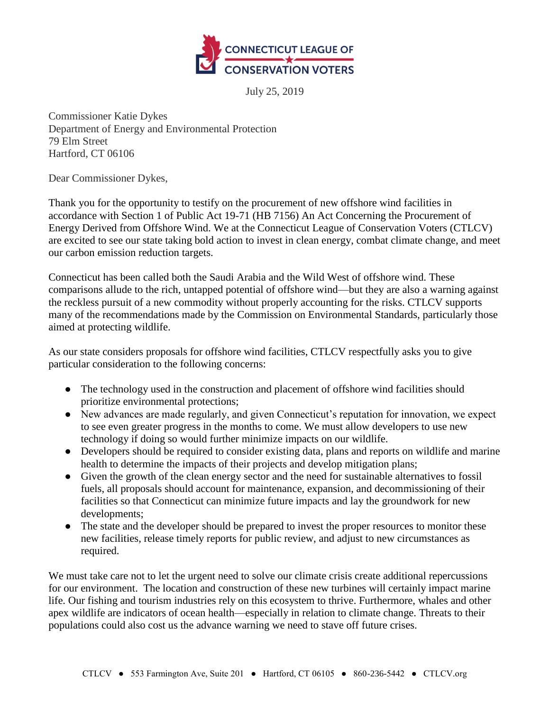

July 25, 2019

Commissioner Katie Dykes Department of Energy and Environmental Protection 79 Elm Street Hartford, CT 06106

Dear Commissioner Dykes,

Thank you for the opportunity to testify on the procurement of new offshore wind facilities in accordance with Section 1 of Public Act 19-71 (HB 7156) An Act Concerning the Procurement of Energy Derived from Offshore Wind. We at the Connecticut League of Conservation Voters (CTLCV) are excited to see our state taking bold action to invest in clean energy, combat climate change, and meet our carbon emission reduction targets.

Connecticut has been called both the Saudi Arabia and the Wild West of offshore wind. These comparisons allude to the rich, untapped potential of offshore wind—but they are also a warning against the reckless pursuit of a new commodity without properly accounting for the risks. CTLCV supports many of the recommendations made by the Commission on Environmental Standards, particularly those aimed at protecting wildlife.

As our state considers proposals for offshore wind facilities, CTLCV respectfully asks you to give particular consideration to the following concerns:

- The technology used in the construction and placement of offshore wind facilities should prioritize environmental protections;
- New advances are made regularly, and given Connecticut's reputation for innovation, we expect to see even greater progress in the months to come. We must allow developers to use new technology if doing so would further minimize impacts on our wildlife.
- Developers should be required to consider existing data, plans and reports on wildlife and marine health to determine the impacts of their projects and develop mitigation plans;
- Given the growth of the clean energy sector and the need for sustainable alternatives to fossil fuels, all proposals should account for maintenance, expansion, and decommissioning of their facilities so that Connecticut can minimize future impacts and lay the groundwork for new developments;
- The state and the developer should be prepared to invest the proper resources to monitor these new facilities, release timely reports for public review, and adjust to new circumstances as required.

We must take care not to let the urgent need to solve our climate crisis create additional repercussions for our environment. The location and construction of these new turbines will certainly impact marine life. Our fishing and tourism industries rely on this ecosystem to thrive. Furthermore, whales and other apex wildlife are indicators of ocean health—especially in relation to climate change. Threats to their populations could also cost us the advance warning we need to stave off future crises.